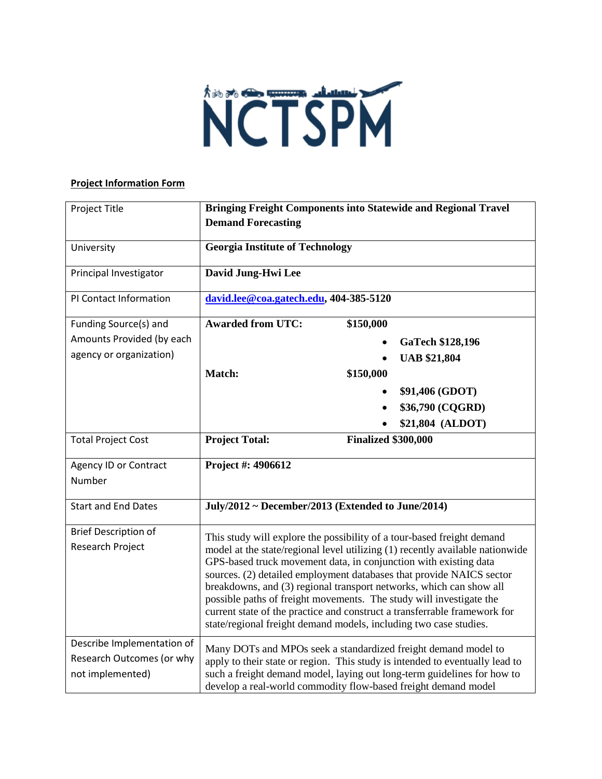

## **Project Information Form**

| Project Title                                                               | <b>Bringing Freight Components into Statewide and Regional Travel</b><br><b>Demand Forecasting</b>                                                                                                                                                                                                                                                                                                                                                                                                                                                                                                  |
|-----------------------------------------------------------------------------|-----------------------------------------------------------------------------------------------------------------------------------------------------------------------------------------------------------------------------------------------------------------------------------------------------------------------------------------------------------------------------------------------------------------------------------------------------------------------------------------------------------------------------------------------------------------------------------------------------|
| University                                                                  | <b>Georgia Institute of Technology</b>                                                                                                                                                                                                                                                                                                                                                                                                                                                                                                                                                              |
| Principal Investigator                                                      | David Jung-Hwi Lee                                                                                                                                                                                                                                                                                                                                                                                                                                                                                                                                                                                  |
| PI Contact Information                                                      | david.lee@coa.gatech.edu, 404-385-5120                                                                                                                                                                                                                                                                                                                                                                                                                                                                                                                                                              |
| Funding Source(s) and                                                       | <b>Awarded from UTC:</b><br>\$150,000                                                                                                                                                                                                                                                                                                                                                                                                                                                                                                                                                               |
| Amounts Provided (by each                                                   | <b>GaTech \$128,196</b>                                                                                                                                                                                                                                                                                                                                                                                                                                                                                                                                                                             |
| agency or organization)                                                     | <b>UAB \$21,804</b>                                                                                                                                                                                                                                                                                                                                                                                                                                                                                                                                                                                 |
|                                                                             | Match:<br>\$150,000                                                                                                                                                                                                                                                                                                                                                                                                                                                                                                                                                                                 |
|                                                                             | \$91,406 (GDOT)                                                                                                                                                                                                                                                                                                                                                                                                                                                                                                                                                                                     |
|                                                                             | \$36,790 (CQGRD)                                                                                                                                                                                                                                                                                                                                                                                                                                                                                                                                                                                    |
|                                                                             | \$21,804 (ALDOT)                                                                                                                                                                                                                                                                                                                                                                                                                                                                                                                                                                                    |
| <b>Total Project Cost</b>                                                   | <b>Project Total:</b><br><b>Finalized \$300,000</b>                                                                                                                                                                                                                                                                                                                                                                                                                                                                                                                                                 |
| <b>Agency ID or Contract</b>                                                | Project #: 4906612                                                                                                                                                                                                                                                                                                                                                                                                                                                                                                                                                                                  |
| Number                                                                      |                                                                                                                                                                                                                                                                                                                                                                                                                                                                                                                                                                                                     |
| <b>Start and End Dates</b>                                                  | July/2012 ~ December/2013 (Extended to June/2014)                                                                                                                                                                                                                                                                                                                                                                                                                                                                                                                                                   |
| <b>Brief Description of</b><br>Research Project                             | This study will explore the possibility of a tour-based freight demand<br>model at the state/regional level utilizing (1) recently available nationwide<br>GPS-based truck movement data, in conjunction with existing data<br>sources. (2) detailed employment databases that provide NAICS sector<br>breakdowns, and (3) regional transport networks, which can show all<br>possible paths of freight movements. The study will investigate the<br>current state of the practice and construct a transferrable framework for<br>state/regional freight demand models, including two case studies. |
| Describe Implementation of<br>Research Outcomes (or why<br>not implemented) | Many DOTs and MPOs seek a standardized freight demand model to<br>apply to their state or region. This study is intended to eventually lead to<br>such a freight demand model, laying out long-term guidelines for how to<br>develop a real-world commodity flow-based freight demand model                                                                                                                                                                                                                                                                                                         |